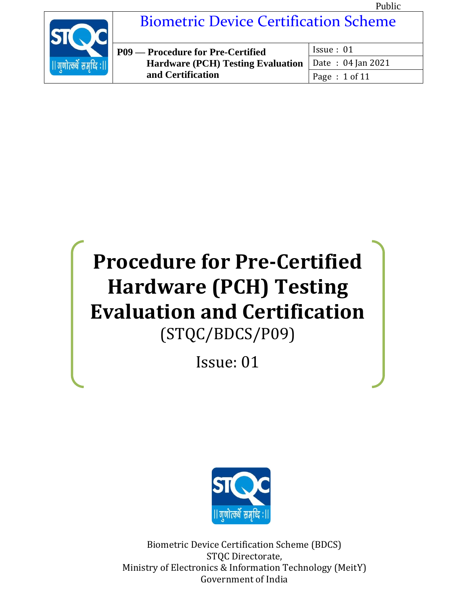

# Biometric Device Certification Scheme

| P09 — Procedure for Pre-Certified                     | Issue: 01     |
|-------------------------------------------------------|---------------|
| Hardware (PCH) Testing Evaluation   Date: 04 Jan 2021 |               |
| and Certification                                     | Page: 1 of 11 |

# **Procedure for Pre-Certified Hardware (PCH) Testing Evaluation and Certification** (STQC/BDCS/P09)

Issue: 01



Biometric Device Certification Scheme (BDCS) STQC Directorate, Ministry of Electronics & Information Technology (MeitY) Government of India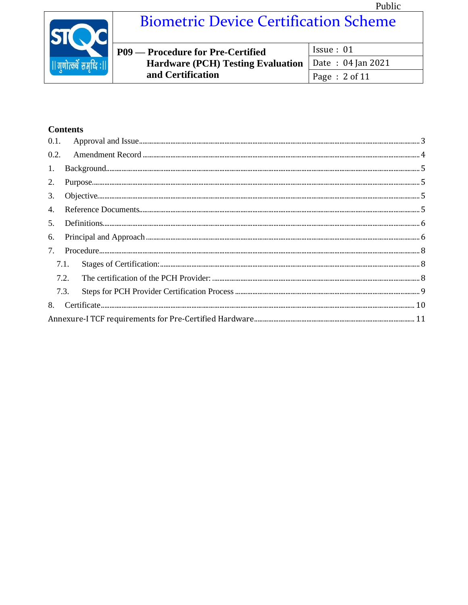

## **Biometric Device Certification Scheme**

| P09 — Procedure for Pre-Certified                            | Is sue: 01    |
|--------------------------------------------------------------|---------------|
| <b>Hardware (PCH) Testing Evaluation</b>   Date: 04 Jan 2021 |               |
| and Certification                                            | Page: 2 of 11 |

### **Contents**

| 0.2. |      |  |  |  |
|------|------|--|--|--|
| 1.   |      |  |  |  |
| 2.   |      |  |  |  |
| 3.   |      |  |  |  |
| 4.   |      |  |  |  |
| 5.   |      |  |  |  |
| 6.   |      |  |  |  |
| 7.   |      |  |  |  |
|      | 7.1. |  |  |  |
|      | 7.2. |  |  |  |
|      | 7.3. |  |  |  |
|      |      |  |  |  |
|      |      |  |  |  |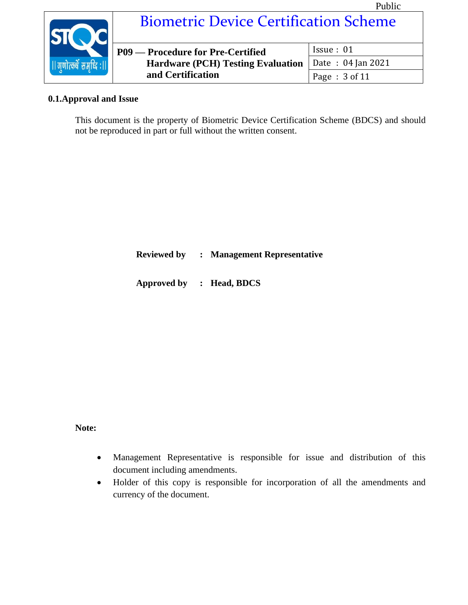

#### <span id="page-2-0"></span>**0.1.Approval and Issue**

This document is the property of Biometric Device Certification Scheme (BDCS) and should not be reproduced in part or full without the written consent.

**Reviewed by : Management Representative**

**Approved by : Head, BDCS** 

#### **Note:**

- Management Representative is responsible for issue and distribution of this document including amendments.
- Holder of this copy is responsible for incorporation of all the amendments and currency of the document.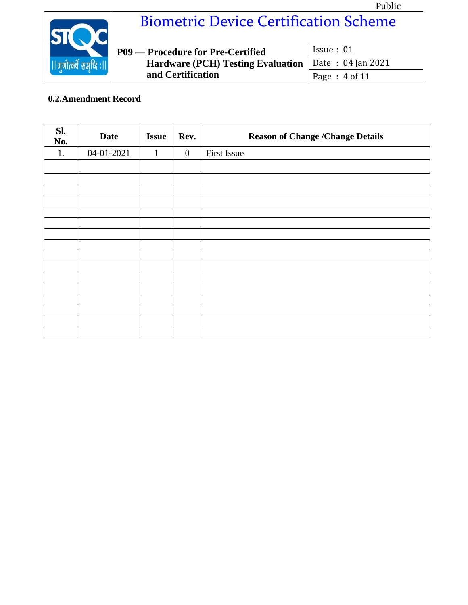

# Biometric Device Certification Scheme

| <b>P09 — Procedure for Pre-Certified</b>              | Is sue: 01    |
|-------------------------------------------------------|---------------|
| Hardware (PCH) Testing Evaluation   Date: 04 Jan 2021 |               |
| and Certification                                     | Page: 4 of 11 |

### <span id="page-3-0"></span>**0.2.Amendment Record**

| Sl.<br>No. | <b>Date</b> | <b>Issue</b> | Rev.             | <b>Reason of Change /Change Details</b> |
|------------|-------------|--------------|------------------|-----------------------------------------|
| 1.         | 04-01-2021  | $\mathbf{1}$ | $\boldsymbol{0}$ | First Issue                             |
|            |             |              |                  |                                         |
|            |             |              |                  |                                         |
|            |             |              |                  |                                         |
|            |             |              |                  |                                         |
|            |             |              |                  |                                         |
|            |             |              |                  |                                         |
|            |             |              |                  |                                         |
|            |             |              |                  |                                         |
|            |             |              |                  |                                         |
|            |             |              |                  |                                         |
|            |             |              |                  |                                         |
|            |             |              |                  |                                         |
|            |             |              |                  |                                         |
|            |             |              |                  |                                         |
|            |             |              |                  |                                         |
|            |             |              |                  |                                         |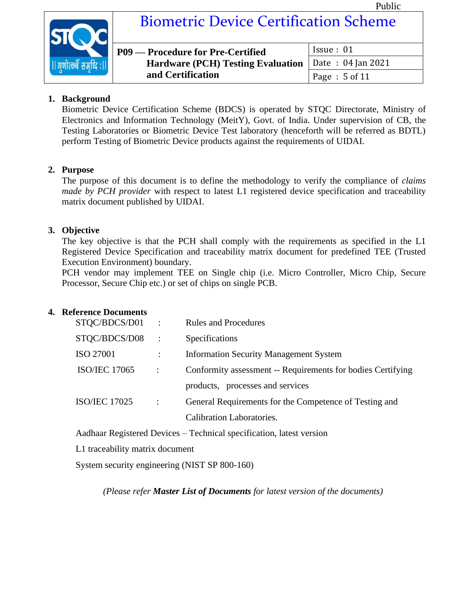

# Biometric Device Certification Scheme

| <b>P09 — Procedure for Pre-Certified</b>              | Is sue: 01       |
|-------------------------------------------------------|------------------|
| Hardware (PCH) Testing Evaluation   Date: 04 Jan 2021 |                  |
| and Certification                                     | Page : $5$ of 11 |

#### <span id="page-4-0"></span>**1. Background**

Biometric Device Certification Scheme (BDCS) is operated by STQC Directorate, Ministry of Electronics and Information Technology (MeitY), Govt. of India. Under supervision of CB, the Testing Laboratories or Biometric Device Test laboratory (henceforth will be referred as BDTL) perform Testing of Biometric Device products against the requirements of UIDAI.

#### <span id="page-4-1"></span>**2. Purpose**

The purpose of this document is to define the methodology to verify the compliance of *claims made by PCH provider* with respect to latest L1 registered device specification and traceability matrix document published by UIDAI.

#### <span id="page-4-2"></span>**3. Objective**

The key objective is that the PCH shall comply with the requirements as specified in the L1 Registered Device Specification and traceability matrix document for predefined TEE (Trusted Execution Environment) boundary.

PCH vendor may implement TEE on Single chip (i.e. Micro Controller, Micro Chip, Secure Processor, Secure Chip etc.) or set of chips on single PCB.

#### <span id="page-4-3"></span>**4. Reference Documents**

| STQC/BDCS/D01        | $\therefore$           | <b>Rules and Procedures</b>                                 |
|----------------------|------------------------|-------------------------------------------------------------|
| STQC/BDCS/D08        | $\therefore$           | <b>Specifications</b>                                       |
| ISO 27001            | $\ddot{\cdot}$         | <b>Information Security Management System</b>               |
| <b>ISO/IEC 17065</b> | $\mathbb{R}^2$         | Conformity assessment -- Requirements for bodies Certifying |
|                      |                        | products, processes and services                            |
| <b>ISO/IEC 17025</b> | $\ddot{\phantom{1}}$ : | General Requirements for the Competence of Testing and      |
|                      |                        | <b>Calibration Laboratories.</b>                            |

Aadhaar Registered Devices – Technical specification, latest version

L1 traceability matrix document

System security engineering (NIST SP 800-160)

*(Please refer Master List of Documents for latest version of the documents)*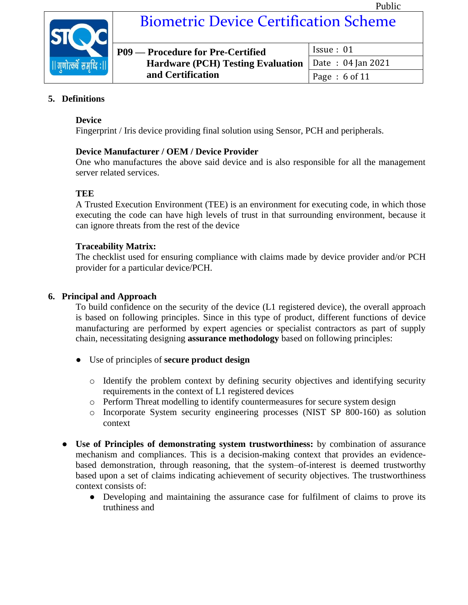

### Biometric Device Certification Scheme

| P09 — Procedure for Pre-Certified                            | Is sue: 01     |
|--------------------------------------------------------------|----------------|
| <b>Hardware (PCH) Testing Evaluation</b>   Date: 04 Jan 2021 |                |
| and Certification                                            | Page : 6 of 11 |

#### <span id="page-5-0"></span>**5. Definitions**

#### **Device**

Fingerprint / Iris device providing final solution using Sensor, PCH and peripherals.

#### **Device Manufacturer / OEM / Device Provider**

One who manufactures the above said device and is also responsible for all the management server related services.

#### **TEE**

A Trusted Execution Environment (TEE) is an environment for executing code, in which those executing the code can have high levels of trust in that surrounding environment, because it can ignore threats from the rest of the device

#### **Traceability Matrix:**

The checklist used for ensuring compliance with claims made by device provider and/or PCH provider for a particular device/PCH.

#### <span id="page-5-1"></span>**6. Principal and Approach**

To build confidence on the security of the device (L1 registered device), the overall approach is based on following principles. Since in this type of product, different functions of device manufacturing are performed by expert agencies or specialist contractors as part of supply chain, necessitating designing **assurance methodology** based on following principles:

- Use of principles of **secure product design**
	- o Identify the problem context by defining security objectives and identifying security requirements in the context of L1 registered devices
	- o Perform Threat modelling to identify countermeasures for secure system design
	- o Incorporate System security engineering processes (NIST SP 800-160) as solution context
- **Use of Principles of demonstrating system trustworthiness:** by combination of assurance mechanism and compliances. This is a decision-making context that provides an evidencebased demonstration, through reasoning, that the system–of-interest is deemed trustworthy based upon a set of claims indicating achievement of security objectives. The trustworthiness context consists of:
	- Developing and maintaining the assurance case for fulfilment of claims to prove its truthiness and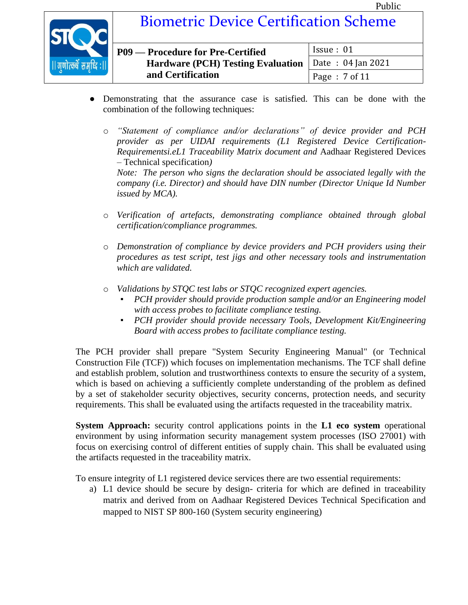

| P09 — Procedure for Pre-Certified                            | Issue: 01       |
|--------------------------------------------------------------|-----------------|
| <b>Hardware (PCH) Testing Evaluation</b>   Date: 04 Jan 2021 |                 |
| and Certification                                            | Page: $7$ of 11 |

- Demonstrating that the assurance case is satisfied. This can be done with the combination of the following techniques:
	- o *"Statement of compliance and/or declarations" of device provider and PCH provider as per UIDAI requirements (L1 Registered Device Certification-Requirementsi.eL1 Traceability Matrix document and* Aadhaar Registered Devices – Technical specification*)*

*Note: The person who signs the declaration should be associated legally with the company (i.e. Director) and should have DIN number (Director Unique Id Number issued by MCA).*

- o *Verification of artefacts, demonstrating compliance obtained through global certification/compliance programmes.*
- o *Demonstration of compliance by device providers and PCH providers using their procedures as test script, test jigs and other necessary tools and instrumentation which are validated.*
- o *Validations by STQC test labs or STQC recognized expert agencies.* 
	- *PCH provider should provide production sample and/or an Engineering model with access probes to facilitate compliance testing.*
	- *PCH provider should provide necessary Tools, Development Kit/Engineering Board with access probes to facilitate compliance testing.*

The PCH provider shall prepare "System Security Engineering Manual" (or Technical Construction File (TCF)) which focuses on implementation mechanisms. The TCF shall define and establish problem, solution and trustworthiness contexts to ensure the security of a system, which is based on achieving a sufficiently complete understanding of the problem as defined by a set of stakeholder security objectives, security concerns, protection needs, and security requirements. This shall be evaluated using the artifacts requested in the traceability matrix.

**System Approach:** security control applications points in the **L1 eco system** operational environment by using information security management system processes (ISO 27001) with focus on exercising control of different entities of supply chain. This shall be evaluated using the artifacts requested in the traceability matrix.

To ensure integrity of L1 registered device services there are two essential requirements:

a) L1 device should be secure by design- criteria for which are defined in traceability matrix and derived from on Aadhaar Registered Devices Technical Specification and mapped to NIST SP 800-160 (System security engineering)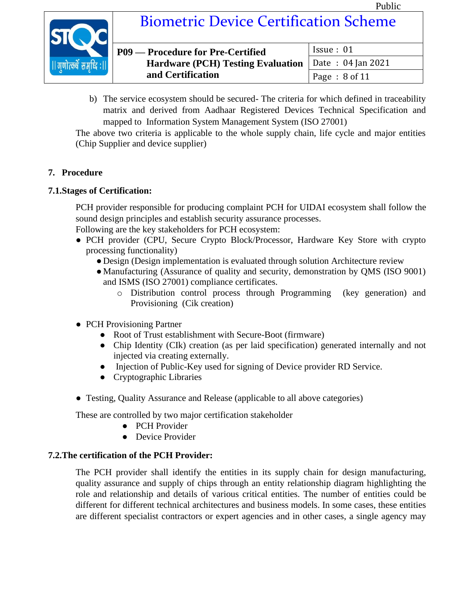Issue : 01

Date : 04 Jan 2021



## Biometric Device Certification Scheme

| P09 — Procedure for Pre-Certified        |  |
|------------------------------------------|--|
| <b>Hardware (PCH) Testing Evaluation</b> |  |
| and Certification                        |  |

Page : 8 of 11 b) The service ecosystem should be secured- The criteria for which defined in traceability matrix and derived from Aadhaar Registered Devices Technical Specification and mapped to Information System Management System (ISO 27001)

The above two criteria is applicable to the whole supply chain, life cycle and major entities (Chip Supplier and device supplier)

#### <span id="page-7-0"></span>**7. Procedure**

#### <span id="page-7-1"></span>**7.1.Stages of Certification:**

PCH provider responsible for producing complaint PCH for UIDAI ecosystem shall follow the sound design principles and establish security assurance processes.

Following are the key stakeholders for PCH ecosystem:

- PCH provider (CPU, Secure Crypto Block/Processor, Hardware Key Store with crypto processing functionality)
	- Design (Design implementation is evaluated through solution Architecture review
	- Manufacturing (Assurance of quality and security, demonstration by QMS (ISO 9001) and ISMS (ISO 27001) compliance certificates.
		- o Distribution control process through Programming (key generation) and Provisioning (Cik creation)
- PCH Provisioning Partner
	- Root of Trust establishment with Secure-Boot (firmware)
	- Chip Identity (CIk) creation (as per laid specification) generated internally and not injected via creating externally.
	- Injection of Public-Key used for signing of Device provider RD Service.
	- Cryptographic Libraries
- Testing, Quality Assurance and Release (applicable to all above categories)

These are controlled by two major certification stakeholder

- PCH Provider
- Device Provider

#### <span id="page-7-2"></span>**7.2.The certification of the PCH Provider:**

The PCH provider shall identify the entities in its supply chain for design manufacturing, quality assurance and supply of chips through an entity relationship diagram highlighting the role and relationship and details of various critical entities. The number of entities could be different for different technical architectures and business models. In some cases, these entities are different specialist contractors or expert agencies and in other cases, a single agency may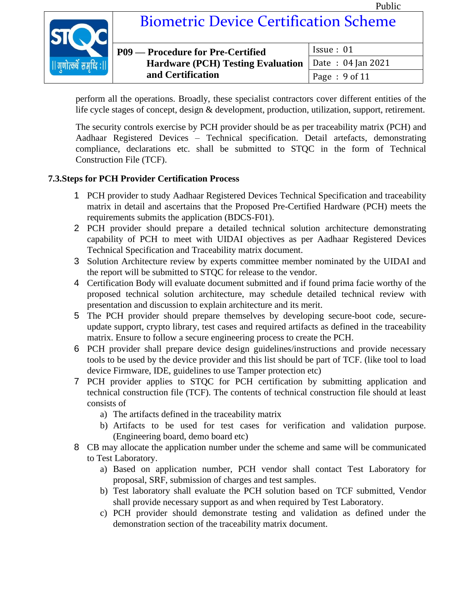

### Biometric Device Certification Scheme

| P09 — Procedure for Pre-Certified                     | Issue: 01     |
|-------------------------------------------------------|---------------|
| Hardware (PCH) Testing Evaluation   Date: 04 Jan 2021 |               |
| and Certification                                     | Page: 9 of 11 |

perform all the operations. Broadly, these specialist contractors cover different entities of the life cycle stages of concept, design & development, production, utilization, support, retirement.

The security controls exercise by PCH provider should be as per traceability matrix (PCH) and Aadhaar Registered Devices – Technical specification. Detail artefacts, demonstrating compliance, declarations etc. shall be submitted to STQC in the form of Technical Construction File (TCF).

#### <span id="page-8-0"></span>**7.3.Steps for PCH Provider Certification Process**

- 1 PCH provider to study Aadhaar Registered Devices Technical Specification and traceability matrix in detail and ascertains that the Proposed Pre-Certified Hardware (PCH) meets the requirements submits the application (BDCS-F01).
- 2 PCH provider should prepare a detailed technical solution architecture demonstrating capability of PCH to meet with UIDAI objectives as per Aadhaar Registered Devices Technical Specification and Traceability matrix document.
- 3 Solution Architecture review by experts committee member nominated by the UIDAI and the report will be submitted to STQC for release to the vendor.
- 4 Certification Body will evaluate document submitted and if found prima facie worthy of the proposed technical solution architecture, may schedule detailed technical review with presentation and discussion to explain architecture and its merit.
- 5 The PCH provider should prepare themselves by developing secure-boot code, secureupdate support, crypto library, test cases and required artifacts as defined in the traceability matrix. Ensure to follow a secure engineering process to create the PCH.
- 6 PCH provider shall prepare device design guidelines/instructions and provide necessary tools to be used by the device provider and this list should be part of TCF. (like tool to load device Firmware, IDE, guidelines to use Tamper protection etc)
- 7 PCH provider applies to STQC for PCH certification by submitting application and technical construction file (TCF). The contents of technical construction file should at least consists of
	- a) The artifacts defined in the traceability matrix
	- b) Artifacts to be used for test cases for verification and validation purpose. (Engineering board, demo board etc)
- 8 CB may allocate the application number under the scheme and same will be communicated to Test Laboratory.
	- a) Based on application number, PCH vendor shall contact Test Laboratory for proposal, SRF, submission of charges and test samples.
	- b) Test laboratory shall evaluate the PCH solution based on TCF submitted, Vendor shall provide necessary support as and when required by Test Laboratory.
	- c) PCH provider should demonstrate testing and validation as defined under the demonstration section of the traceability matrix document.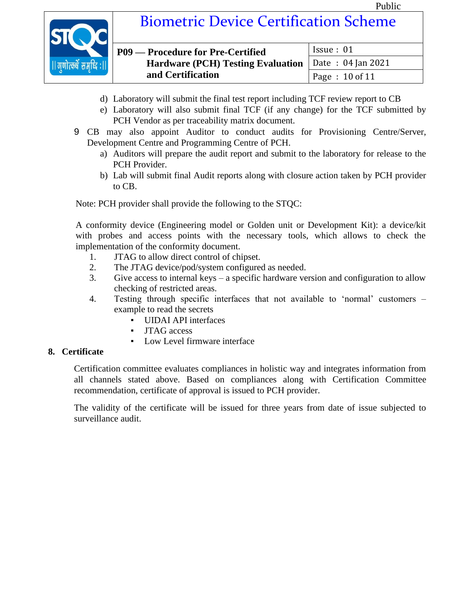Issue : 01

Date : 04 Jan 2021

Page : 10 of 11



### Biometric Device Certification Scheme

| P09 — Procedure for Pre-Certified        |  |
|------------------------------------------|--|
| <b>Hardware (PCH) Testing Evaluation</b> |  |
| and Certification                        |  |

- d) Laboratory will submit the final test report including TCF review report to CB
- e) Laboratory will also submit final TCF (if any change) for the TCF submitted by PCH Vendor as per traceability matrix document.
- 9 CB may also appoint Auditor to conduct audits for Provisioning Centre/Server, Development Centre and Programming Centre of PCH.
	- a) Auditors will prepare the audit report and submit to the laboratory for release to the PCH Provider.
	- b) Lab will submit final Audit reports along with closure action taken by PCH provider to CB.

Note: PCH provider shall provide the following to the STQC:

A conformity device (Engineering model or Golden unit or Development Kit): a device/kit with probes and access points with the necessary tools, which allows to check the implementation of the conformity document.

- 1. JTAG to allow direct control of chipset.
- 2. The JTAG device/pod/system configured as needed.
- 3. Give access to internal keys a specific hardware version and configuration to allow checking of restricted areas.
- 4. Testing through specific interfaces that not available to 'normal' customers example to read the secrets
	- UIDAI API interfaces
	- **JTAG** access
	- Low Level firmware interface

#### <span id="page-9-0"></span>**8. Certificate**

Certification committee evaluates compliances in holistic way and integrates information from all channels stated above. Based on compliances along with Certification Committee recommendation, certificate of approval is issued to PCH provider.

The validity of the certificate will be issued for three years from date of issue subjected to surveillance audit.